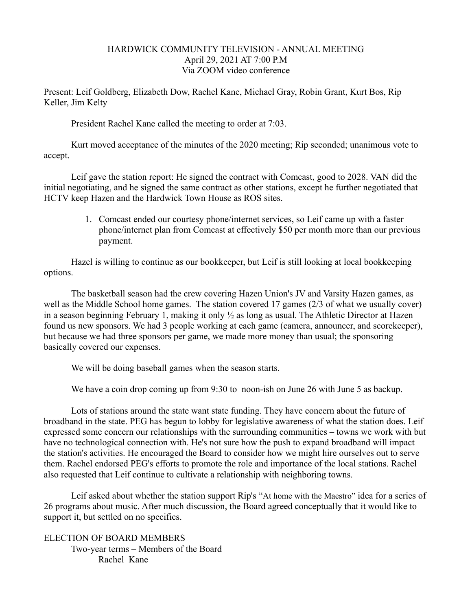## HARDWICK COMMUNITY TELEVISION - ANNUAL MEETING April 29, 2021 AT 7:00 P.M Via ZOOM video conference

Present: Leif Goldberg, Elizabeth Dow, Rachel Kane, Michael Gray, Robin Grant, Kurt Bos, Rip Keller, Jim Kelty

President Rachel Kane called the meeting to order at 7:03.

 Kurt moved acceptance of the minutes of the 2020 meeting; Rip seconded; unanimous vote to accept.

Leif gave the station report: He signed the contract with Comcast, good to 2028. VAN did the initial negotiating, and he signed the same contract as other stations, except he further negotiated that HCTV keep Hazen and the Hardwick Town House as ROS sites.

> 1. Comcast ended our courtesy phone/internet services, so Leif came up with a faster phone/internet plan from Comcast at effectively \$50 per month more than our previous payment.

Hazel is willing to continue as our bookkeeper, but Leif is still looking at local bookkeeping options.

The basketball season had the crew covering Hazen Union's JV and Varsity Hazen games, as well as the Middle School home games. The station covered 17 games (2/3 of what we usually cover) in a season beginning February 1, making it only ½ as long as usual. The Athletic Director at Hazen found us new sponsors. We had 3 people working at each game (camera, announcer, and scorekeeper), but because we had three sponsors per game, we made more money than usual; the sponsoring basically covered our expenses.

We will be doing baseball games when the season starts.

We have a coin drop coming up from 9:30 to noon-ish on June 26 with June 5 as backup.

Lots of stations around the state want state funding. They have concern about the future of broadband in the state. PEG has begun to lobby for legislative awareness of what the station does. Leif expressed some concern our relationships with the surrounding communities – towns we work with but have no technological connection with. He's not sure how the push to expand broadband will impact the station's activities. He encouraged the Board to consider how we might hire ourselves out to serve them. Rachel endorsed PEG's efforts to promote the role and importance of the local stations. Rachel also requested that Leif continue to cultivate a relationship with neighboring towns.

Leif asked about whether the station support Rip's "At home with the Maestro" idea for a series of 26 programs about music. After much discussion, the Board agreed conceptually that it would like to support it, but settled on no specifics.

ELECTION OF BOARD MEMBERS Two-year terms – Members of the Board Rachel Kane